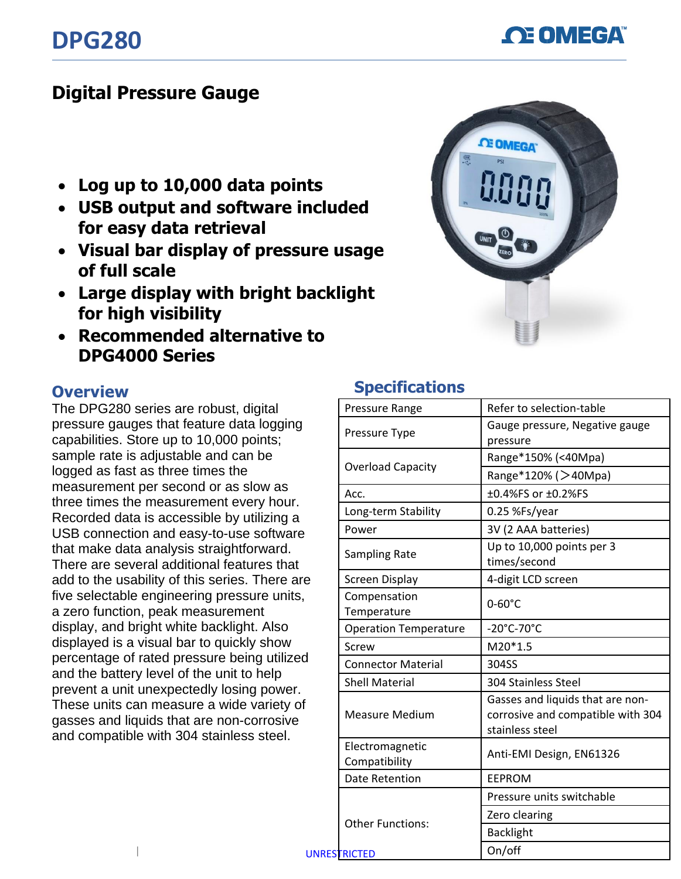**OE OMEGA** 

## **Digital Pressure Gauge**

- **Log up to 10,000 data points**
- **USB output and software included for easy data retrieval**
- **Visual bar display of pressure usage of full scale**
- **Large display with bright backlight for high visibility**
- **Recommended alternative to DPG4000 Series**



## **Overview**

The DPG280 series are robust, digital pressure gauges that feature data logging capabilities. Store up to 10,000 points; sample rate is adjustable and can be logged as fast as three times the measurement per second or as slow as three times the measurement every hour. Recorded data is accessible by utilizing a USB connection and easy-to-use software that make data analysis straightforward. There are several additional features that add to the usability of this series. There are five selectable engineering pressure units, a zero function, peak measurement display, and bright white backlight. Also displayed is a visual bar to quickly show percentage of rated pressure being utilized and the battery level of the unit to help prevent a unit unexpectedly losing power. These units can measure a wide variety of gasses and liquids that are non-corrosive and compatible with 304 stainless steel.

## **Specifications**

|                     | Pressure Range                   | Refer to selection-table                                                                 |
|---------------------|----------------------------------|------------------------------------------------------------------------------------------|
|                     | Pressure Type                    | Gauge pressure, Negative gauge<br>pressure                                               |
|                     | <b>Overload Capacity</b>         | Range*150% (<40Mpa)                                                                      |
|                     |                                  | Range*120% (>40Mpa)                                                                      |
|                     | Acc.                             | ±0.4%FS or ±0.2%FS                                                                       |
|                     | Long-term Stability              | 0.25 %Fs/year                                                                            |
|                     | Power                            | 3V (2 AAA batteries)                                                                     |
|                     | Sampling Rate                    | Up to 10,000 points per 3<br>times/second                                                |
| e                   | Screen Display                   | 4-digit LCD screen                                                                       |
|                     | Compensation<br>Temperature      | $0-60^{\circ}$ C                                                                         |
|                     | <b>Operation Temperature</b>     | -20°C-70°C                                                                               |
|                     | Screw                            | $M20*1.5$                                                                                |
|                     | <b>Connector Material</b>        | 304SS                                                                                    |
|                     | <b>Shell Material</b>            | 304 Stainless Steel                                                                      |
|                     | <b>Measure Medium</b>            | Gasses and liquids that are non-<br>corrosive and compatible with 304<br>stainless steel |
|                     | Electromagnetic<br>Compatibility | Anti-EMI Design, EN61326                                                                 |
|                     | <b>Date Retention</b>            | <b>EEPROM</b>                                                                            |
| <b>UNRESTRICTED</b> | <b>Other Functions:</b>          | Pressure units switchable                                                                |
|                     |                                  | Zero clearing                                                                            |
|                     |                                  | <b>Backlight</b>                                                                         |
|                     |                                  | On/off                                                                                   |